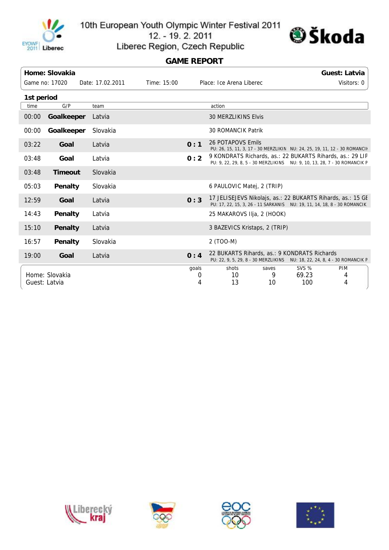

10th European Youth Olympic Winter Festival 2011

12. - 19. 2. 2011



Liberec Region, Czech Republic

## **GAME REPORT**

|               | Home: Slovakia |                  |             |                          |                                                                                                                                        |            |                | Guest: Latvia |  |
|---------------|----------------|------------------|-------------|--------------------------|----------------------------------------------------------------------------------------------------------------------------------------|------------|----------------|---------------|--|
|               | Game no: 17020 | Date: 17.02.2011 | Time: 15:00 | Place: Ice Arena Liberec |                                                                                                                                        |            |                | Visitors: 0   |  |
| 1st period    |                |                  |             |                          |                                                                                                                                        |            |                |               |  |
| time          | G/P            | team             |             |                          | action                                                                                                                                 |            |                |               |  |
| 00:00         | Goalkeeper     | Latvia           |             |                          | <b>30 MERZLIKINS Elvis</b>                                                                                                             |            |                |               |  |
| 00:00         | Goalkeeper     | Slovakia         |             |                          | <b>30 ROMANCIK Patrik</b>                                                                                                              |            |                |               |  |
| 03:22         | Goal           | Latvia           |             | 0:1                      | 26 POTAPOVS Emils<br>PU: 26, 15, 11, 3, 17 - 30 MERZLIKIN NU: 24, 25, 19, 11, 12 - 30 ROMANCII                                         |            |                |               |  |
| 03:48         | Goal           | Latvia           |             | 0:2                      | 9 KONDRATS Richards, as.: 22 BUKARTS Rihards, as.: 29 LIP<br>PU: 9, 22, 29, 8, 5 - 30 MERZLIKINS NU: 9, 10, 13, 28, 7 - 30 ROMANCIK P  |            |                |               |  |
| 03:48         | <b>Timeout</b> | Slovakia         |             |                          |                                                                                                                                        |            |                |               |  |
| 05:03         | Penalty        | Slovakia         |             |                          | 6 PAULOVIC Matej, 2 (TRIP)                                                                                                             |            |                |               |  |
| 12:59         | Goal           | Latvia           |             | 0:3                      | 17 JELISEJEVS Nikolajs, as.: 22 BUKARTS Rihards, as.: 15 GE<br>PU: 17, 22, 15, 3, 26 - 11 SARKANIS NU: 19, 11, 14, 18, 8 - 30 ROMANCIK |            |                |               |  |
| 14:43         | Penalty        | Latvia           |             |                          | 25 MAKAROVS IIja, 2 (HOOK)                                                                                                             |            |                |               |  |
| 15:10         | Penalty        | Latvia           |             |                          | 3 BAZEVICS Kristaps, 2 (TRIP)                                                                                                          |            |                |               |  |
| 16:57         | Penalty        | Slovakia         |             |                          | 2 (TOO-M)                                                                                                                              |            |                |               |  |
| 19:00         | Goal           | Latvia           |             | 0:4                      | 22 BUKARTS Rihards, as.: 9 KONDRATS Richards<br>PU: 22, 9, 5, 29, 8 - 30 MERZLIKINS NU: 18, 22, 24, 8, 4 - 30 ROMANCIK P               |            |                |               |  |
|               | Home: Slovakia |                  |             | qoals<br>0               | shots<br>10                                                                                                                            | saves<br>9 | SVS %<br>69.23 | PIM<br>4      |  |
| Guest: Latvia |                |                  |             | 4                        | 13                                                                                                                                     | 10         | 100            | 4             |  |